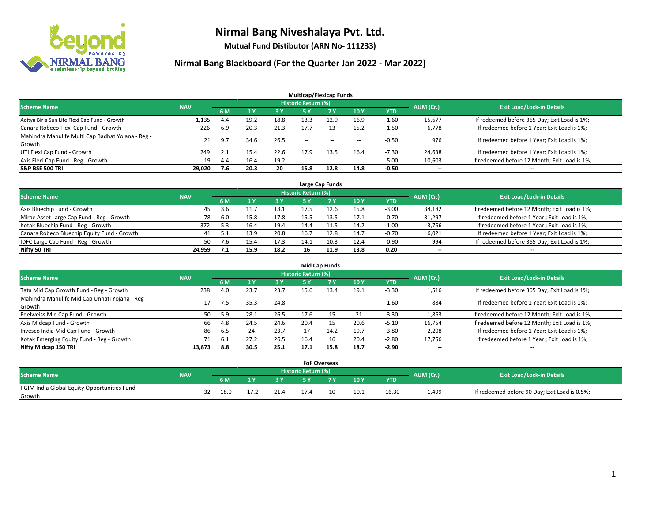

**Mutual Fund Distibutor (ARN No- 111233)**

|                                                   |            |     |      |           | <b>Multicap/Flexicap Funds</b> |           |                          |         |                          |                                               |
|---------------------------------------------------|------------|-----|------|-----------|--------------------------------|-----------|--------------------------|---------|--------------------------|-----------------------------------------------|
| <b>Scheme Name</b>                                | <b>NAV</b> |     |      |           | <b>Historic Return (%)</b>     |           |                          |         | AUM (Cr.)                | <b>Exit Load/Lock-in Details</b>              |
|                                                   |            | 6 M |      | <b>3Y</b> | 5 Y                            | <b>7Y</b> | 10Y                      | YTD     |                          |                                               |
| Aditya Birla Sun Life Flexi Cap Fund - Growth     | 1,135      | 4.4 | 19.2 | 18.8      | 13.3                           | 12.9      | 16.9                     | $-1.60$ | 15,677                   | If redeemed before 365 Day; Exit Load is 1%;  |
| Canara Robeco Flexi Cap Fund - Growth             | 226        | 6.9 | 20.3 | 21.3      | 17.7                           |           | 15.2                     | $-1.50$ | 6,778                    | If redeemed before 1 Year; Exit Load is 1%;   |
| Mahindra Manulife Multi Cap Badhat Yojana - Reg - | 21         | 9.7 | 34.6 | 26.5      | $\sim$ $\sim$                  | $-$       |                          | $-0.50$ | 976                      | If redeemed before 1 Year; Exit Load is 1%;   |
| Growth                                            |            |     |      |           |                                |           | $\!-$                    |         |                          |                                               |
| UTI Flexi Cap Fund - Growth                       | 249        |     | 15.4 | 22.6      | 17.9                           | 13.5      | 16.4                     | $-7.30$ | 24,638                   | If redeemed before 1 Year; Exit Load is 1%;   |
| Axis Flexi Cap Fund - Reg - Growth                | 19         | 4.4 | 16.4 | 19.2      | $\overline{\phantom{a}}$       | $\sim$    | $\overline{\phantom{a}}$ | $-5.00$ | 10,603                   | If redeemed before 12 Month; Exit Load is 1%; |
| <b>S&amp;P BSE 500 TRI</b>                        | 29.020     | 7.6 | 20.3 | 20        | 15.8                           | 12.8      | 14.8                     | $-0.50$ | $\overline{\phantom{a}}$ | $\overline{\phantom{a}}$                      |

| Large Cap Funds                             |            |     |      |      |                            |           |      |            |           |                                               |  |  |  |
|---------------------------------------------|------------|-----|------|------|----------------------------|-----------|------|------------|-----------|-----------------------------------------------|--|--|--|
| <b>Scheme Name</b>                          | <b>NAV</b> |     |      |      | <b>Historic Return (%)</b> |           |      |            | AUM (Cr.) | <b>Exit Load/Lock-in Details</b>              |  |  |  |
|                                             |            | 6 M |      | 3 Y  |                            | <b>7Y</b> | 10Y  | <b>YTD</b> |           |                                               |  |  |  |
| Axis Bluechip Fund - Growth                 | 45         | 3.6 | 11.7 | 18.1 | 17.5                       |           | 15.8 | $-3.00$    | 34,182    | If redeemed before 12 Month; Exit Load is 1%; |  |  |  |
| Mirae Asset Large Cap Fund - Reg - Growth   | 78         | 6.0 | 15.8 | 17.8 | 15.5                       | 13.5      | 17.1 | $-0.70$    | 31,297    | If redeemed before 1 Year; Exit Load is 1%;   |  |  |  |
| Kotak Bluechip Fund - Reg - Growth          | 372        | 5.3 | 16.4 | 19.4 | 14.4                       | 11.5      | 14.2 | $-1.00$    | 3,766     | If redeemed before 1 Year; Exit Load is 1%;   |  |  |  |
| Canara Robeco Bluechip Equity Fund - Growth | 41         | 5.1 |      | 20.8 | 16.7                       |           | 14.7 | $-0.70$    | 6,021     | If redeemed before 1 Year; Exit Load is 1%;   |  |  |  |
| IDFC Large Cap Fund - Reg - Growth          | 50         |     |      | 17.3 | 14.1                       | 10.3      | 12.4 | $-0.90$    | 994       | If redeemed before 365 Day; Exit Load is 1%;  |  |  |  |
| Nifty 50 TRI                                | 24.959     |     | 15.9 | 18.2 | 16                         | 11.9      | 13.8 | 0.20       | $- -$     | $\overline{\phantom{a}}$                      |  |  |  |

| <b>Mid Cap Funds</b>                                      |            |      |      |      |                     |           |      |            |                          |                                               |  |  |  |
|-----------------------------------------------------------|------------|------|------|------|---------------------|-----------|------|------------|--------------------------|-----------------------------------------------|--|--|--|
| <b>Scheme Name</b>                                        | <b>NAV</b> |      |      |      | Historic Return (%) |           |      |            | AUM (Cr.)                | <b>Exit Load/Lock-in Details</b>              |  |  |  |
|                                                           |            | 6 M  |      | 3 Y  | 5 Y                 | <b>7Y</b> | 10Y  | <b>YTD</b> |                          |                                               |  |  |  |
| Tata Mid Cap Growth Fund - Reg - Growth                   | 238        | 4.0  | 23.7 | 23.7 | 15.6                | 13.4      | 19.1 | $-3.30$    | 1,516                    | If redeemed before 365 Day; Exit Load is 1%;  |  |  |  |
| Mahindra Manulife Mid Cap Unnati Yojana - Reg -<br>Growth |            | 7.5  | 35.3 | 24.8 | $\sim$              | $\sim$    | $-$  | $-1.60$    | 884                      | If redeemed before 1 Year; Exit Load is 1%;   |  |  |  |
| Edelweiss Mid Cap Fund - Growth                           | 50         | 5.9  | 28.1 | 26.5 | 17.6                | 15        | 21   | $-3.30$    | 1,863                    | If redeemed before 12 Month; Exit Load is 1%; |  |  |  |
| Axis Midcap Fund - Growth                                 | 66         | 4.8  | 24.5 | 24.6 | 20.4                | 15        | 20.6 | $-5.10$    | 16,754                   | If redeemed before 12 Month; Exit Load is 1%; |  |  |  |
| Invesco India Mid Cap Fund - Growth                       | 86         | -6.5 | 24   | 23.7 |                     | 14.2      | 19.7 | $-3.80$    | 2,208                    | If redeemed before 1 Year; Exit Load is 1%;   |  |  |  |
| Kotak Emerging Equity Fund - Reg - Growth                 |            | 6.1  | 27.2 | 26.5 | 16.4                | 16        | 20.4 | $-2.80$    | 17,756                   | If redeemed before 1 Year; Exit Load is 1%;   |  |  |  |
| Nifty Midcap 150 TRI                                      | 13.873     | 8.8  | 30.5 | 25.1 | 17.1                | 15.8      | 18.7 | $-2.90$    | $\overline{\phantom{a}}$ | $-$                                           |  |  |  |

|                                               |            |    |         |         |      | <b>FoF Overseas</b> |     |      |          |           |                                               |  |
|-----------------------------------------------|------------|----|---------|---------|------|---------------------|-----|------|----------|-----------|-----------------------------------------------|--|
| <b>Scheme Name</b>                            | <b>NAV</b> |    |         |         |      | Historic Return (%) |     |      |          | AUM (Cr.) | <b>Exit Load/Lock-in Details</b>              |  |
|                                               |            |    | 6 M     | ıν      | 2V   |                     | 7 V | 10Y  | YTD      |           |                                               |  |
| PGIM India Global Equity Opportunities Fund - |            | 32 | $-18.0$ | $-17.2$ | 21.4 | 17.4                |     | 10.1 | $-16.30$ | 1,499     | If redeemed before 90 Day; Exit Load is 0.5%; |  |
| Growth                                        |            |    |         |         |      |                     |     |      |          |           |                                               |  |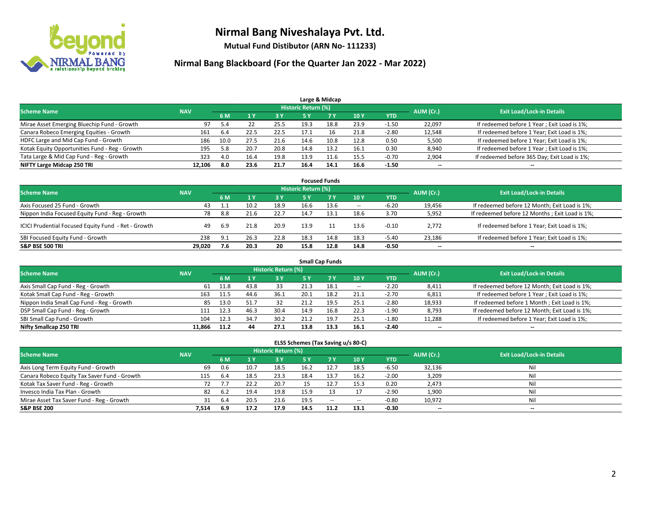

**Mutual Fund Distibutor (ARN No- 111233)**

| Large & Midcap                                 |            |      |      |      |                     |      |      |            |           |                                              |  |  |  |
|------------------------------------------------|------------|------|------|------|---------------------|------|------|------------|-----------|----------------------------------------------|--|--|--|
| <b>Scheme Name</b>                             | <b>NAV</b> |      |      |      | Historic Return (%) |      |      |            | AUM (Cr.) | <b>Exit Load/Lock-in Details</b>             |  |  |  |
|                                                |            | 6 M  |      | 3 Y  | 5 ۷                 |      | 10Y  | <b>YTD</b> |           |                                              |  |  |  |
| Mirae Asset Emerging Bluechip Fund - Growth    | 97         | 5.4  |      | 25.5 | 19.3                | 18.8 | 23.9 | $-1.50$    | 22,097    | If redeemed before 1 Year; Exit Load is 1%;  |  |  |  |
| Canara Robeco Emerging Equities - Growth       | 161        | 6.4  | 22.5 | 22.5 | 17.1                | 16   | 21.8 | $-2.80$    | 12,548    | If redeemed before 1 Year; Exit Load is 1%;  |  |  |  |
| HDFC Large and Mid Cap Fund - Growth           | 186        | 10.0 | 27.5 | 21.6 | 14.6                | 10.8 | 12.8 | 0.50       | 5,500     | If redeemed before 1 Year; Exit Load is 1%;  |  |  |  |
| Kotak Equity Opportunities Fund - Reg - Growth | 195        | 5.8  | 20.7 | 20.8 | 14.8                | 13.2 | 16.1 | 0.30       | 8,940     | If redeemed before 1 Year; Exit Load is 1%;  |  |  |  |
| Tata Large & Mid Cap Fund - Reg - Growth       | 323        | 4.0  | 16.4 | 19.8 | 13.9                | 11.6 | 15.5 | $-0.70$    | 2,904     | If redeemed before 365 Day; Exit Load is 1%; |  |  |  |
| NIFTY Large Midcap 250 TRI                     | 12.106     | 8.0  | 23.6 | 21.7 | 16.4                | 14.1 | 16.6 | $-1.50$    | $- -$     | $- -$                                        |  |  |  |

| <b>Focused Funds</b>                                |            |      |      |      |                            |           |        |            |           |                                                |  |  |  |
|-----------------------------------------------------|------------|------|------|------|----------------------------|-----------|--------|------------|-----------|------------------------------------------------|--|--|--|
| <b>Scheme Name</b>                                  | <b>NAV</b> |      |      |      | <b>Historic Return (%)</b> |           |        |            | AUM (Cr.) | <b>Exit Load/Lock-in Details</b>               |  |  |  |
|                                                     |            | 6 M  | 1 Y  | 3 Y  | <b>5Y</b>                  | <b>7Y</b> | 10Y    | <b>YTD</b> |           |                                                |  |  |  |
| Axis Focused 25 Fund - Growth                       | 43         |      | 10.2 | 18.9 | 16.6                       | 13.6      | $\sim$ | $-6.20$    | 19,456    | If redeemed before 12 Month; Exit Load is 1%;  |  |  |  |
| Nippon India Focused Equity Fund - Reg - Growth     | 78         | 8.8  | 21.6 | 22.7 | 14.7                       | 13.1      | 18.6   | 3.70       | 5,952     | If redeemed before 12 Months; Exit Load is 1%; |  |  |  |
| ICICI Prudential Focused Equity Fund - Ret - Growth | 49         | -6.9 | 21.8 | 20.9 | 13.9                       |           | 13.6   | $-0.10$    | 2.772     | If redeemed before 1 Year; Exit Load is 1%;    |  |  |  |
| SBI Focused Equity Fund - Growth                    | 238        | 9.1  | 26.3 | 22.8 | 18.3                       | 14.8      | 18.3   | $-5.40$    | 23,186    | If redeemed before 1 Year; Exit Load is 1%;    |  |  |  |
| <b>S&amp;P BSE 500 TRI</b>                          | 29.020     | 7.6  | 20.3 | 20   | 15.8                       | 12.8      | 14.8   | $-0.50$    | $- -$     | $\overline{\phantom{a}}$                       |  |  |  |

| <b>Small Cap Funds</b>                     |            |      |      |                            |      |      |        |            |           |                                               |  |  |  |
|--------------------------------------------|------------|------|------|----------------------------|------|------|--------|------------|-----------|-----------------------------------------------|--|--|--|
| <b>Scheme Name</b>                         | <b>NAV</b> |      |      | <b>Historic Return (%)</b> |      |      |        |            | AUM (Cr.) | <b>Exit Load/Lock-in Details</b>              |  |  |  |
|                                            |            | 6 M  |      | 3 Y                        | 5 Y  |      | 10Y    | <b>YTD</b> |           |                                               |  |  |  |
| Axis Small Cap Fund - Reg - Growth         | 61         | 11.8 | 43.8 | 33                         | 21.3 | 18.1 | $\sim$ | $-2.20$    | 8,411     | If redeemed before 12 Month; Exit Load is 1%; |  |  |  |
| Kotak Small Cap Fund - Reg - Growth        | 163        | 11.5 | 44.6 | 36.1                       | 20.1 | 18.2 | 21.1   | $-2.70$    | 6,811     | If redeemed before 1 Year; Exit Load is 1%;   |  |  |  |
| Nippon India Small Cap Fund - Reg - Growth | 85         | 13.0 | 51.7 | 32                         | 21.2 | 19.5 | 25.1   | $-2.80$    | 18,933    | If redeemed before 1 Month; Exit Load is 1%;  |  |  |  |
| DSP Small Cap Fund - Reg - Growth          |            | 12.3 | 46.3 | 30.4                       | 14.9 | 16.8 | 22.3   | $-1.90$    | 8,793     | If redeemed before 12 Month; Exit Load is 1%; |  |  |  |
| SBI Small Cap Fund - Growth                | 104        | 12.3 | 34., | 30.2                       | 21.2 | 19.7 | 25.1   | $-1.80$    | 11,288    | If redeemed before 1 Year; Exit Load is 1%;   |  |  |  |
| Nifty Smallcap 250 TRI                     | 11.866     | 11.2 | 44   | 27.1                       | 13.8 | 13.3 | 16.1   | $-2.40$    | $- -$     | $-$                                           |  |  |  |

| ELSS Schemes (Tax Saving u/s 80-C)           |            |      |      |                            |      |           |        |            |                          |                                  |  |  |  |
|----------------------------------------------|------------|------|------|----------------------------|------|-----------|--------|------------|--------------------------|----------------------------------|--|--|--|
| <b>Scheme Name</b>                           | <b>NAV</b> |      |      | <b>Historic Return (%)</b> |      |           |        |            | AUM (Cr.)                | <b>Exit Load/Lock-in Details</b> |  |  |  |
|                                              |            | 6 M  |      | 3 Y                        |      | <b>7Y</b> | 10Y    | <b>YTD</b> |                          |                                  |  |  |  |
| Axis Long Term Equity Fund - Growth          | 69         | 0.6  | 10.7 | 18.5                       | 16.2 | 12.7      | 18.5   | $-6.50$    | 32,136                   | Nil                              |  |  |  |
| Canara Robeco Equity Tax Saver Fund - Growth | 115        | -6.4 | 18.5 | 23.3                       | 18.4 | 13.7      | 16.2   | $-2.00$    | 3,209                    | Nil                              |  |  |  |
| Kotak Tax Saver Fund - Reg - Growth          | 72         |      | 22.2 | 20.7                       | 15   | 12.7      | 15.3   | 0.20       | 2,473                    | Nil                              |  |  |  |
| Invesco India Tax Plan - Growth              | 82         | 6.2  | 19.4 | 19.8                       | 15.9 |           | 17     | $-2.90$    | 1,900                    | Nil                              |  |  |  |
| Mirae Asset Tax Saver Fund - Reg - Growth    | 31         | -6.4 | 20.5 | 23.6                       | 19.5 | $\sim$    | $\sim$ | $-0.80$    | 10,972                   | Nil                              |  |  |  |
| <b>S&amp;P BSE 200</b>                       | 7,514      | -6.9 | 17.2 | 17.9                       | 14.5 | 11.2      | 13.1   | $-0.30$    | $\overline{\phantom{a}}$ | $-$                              |  |  |  |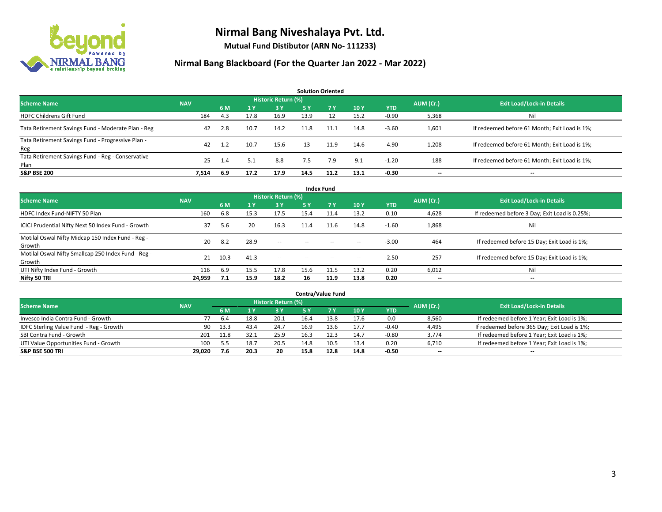

**Mutual Fund Distibutor (ARN No- 111233)**

| <b>Solution Oriented</b>                                  |            |     |                |                     |           |           |      |            |           |                                               |  |  |  |
|-----------------------------------------------------------|------------|-----|----------------|---------------------|-----------|-----------|------|------------|-----------|-----------------------------------------------|--|--|--|
| <b>Scheme Name</b>                                        | <b>NAV</b> |     |                | Historic Return (%) |           |           |      |            | AUM (Cr.) | <b>Exit Load/Lock-in Details</b>              |  |  |  |
|                                                           |            | 6 M | 1 <sup>Y</sup> | -3 Y                | <b>5Y</b> | <b>7Y</b> | 10Y  | <b>YTD</b> |           |                                               |  |  |  |
| <b>HDFC Childrens Gift Fund</b>                           | 184        | 4.3 | 17.8           | 16.9                | 13.9      | 12        | 15.2 | $-0.90$    | 5,368     | Nil                                           |  |  |  |
| Tata Retirement Savings Fund - Moderate Plan - Reg        | 42         | 2.8 | 10.7           | 14.2                | 11.8      | 11.1      | 14.8 | $-3.60$    | 1,601     | If redeemed before 61 Month; Exit Load is 1%; |  |  |  |
| Tata Retirement Savings Fund - Progressive Plan -<br>Reg  | 42         | 1.2 | 10.7           | 15.6                | 13        | 11.9      | 14.6 | $-4.90$    | 1,208     | If redeemed before 61 Month; Exit Load is 1%; |  |  |  |
| Tata Retirement Savings Fund - Reg - Conservative<br>Plan | 25         | 1.4 | 5.1            | 8.8                 | 7.5       | 7.9       | 9.1  | $-1.20$    | 188       | If redeemed before 61 Month; Exit Load is 1%; |  |  |  |
| <b>S&amp;P BSE 200</b>                                    | 7.514      | 6.9 | 17.2           | 17.9                | 14.5      | 11.2      | 13.1 | $-0.30$    | --        | --                                            |  |  |  |

| <b>Index Fund</b>                                             |            |      |                |                     |        |           |        |            |                          |                                               |  |  |  |
|---------------------------------------------------------------|------------|------|----------------|---------------------|--------|-----------|--------|------------|--------------------------|-----------------------------------------------|--|--|--|
| <b>Scheme Name</b>                                            | <b>NAV</b> |      |                | Historic Return (%) |        |           |        |            | AUM (Cr.)                | <b>Exit Load/Lock-in Details</b>              |  |  |  |
|                                                               |            | 6 M  | 1 <sup>Y</sup> | <b>3Y</b>           | 5 Y    | <b>7Y</b> | 10Y    | <b>YTD</b> |                          |                                               |  |  |  |
| HDFC Index Fund-NIFTY 50 Plan                                 | 160        | 6.8  | 15.3           | 17.5                | 15.4   | 11.4      | 13.2   | 0.10       | 4,628                    | If redeemed before 3 Day; Exit Load is 0.25%; |  |  |  |
| ICICI Prudential Nifty Next 50 Index Fund - Growth            | 37         | 5.6  | 20             | 16.3                | 11.4   | 11.6      | 14.8   | $-1.60$    | 1,868                    | Ni                                            |  |  |  |
| Motilal Oswal Nifty Midcap 150 Index Fund - Reg -<br>Growth   | 20         | 8.2  | 28.9           | $\sim$              | $\sim$ | $\sim$    | $\sim$ | $-3.00$    | 464                      | If redeemed before 15 Day; Exit Load is 1%;   |  |  |  |
| Motilal Oswal Nifty Smallcap 250 Index Fund - Reg -<br>Growth | 21         | 10.3 | 41.3           | $\sim$              | $\sim$ | $\sim$    | $\sim$ | $-2.50$    | 257                      | If redeemed before 15 Day; Exit Load is 1%;   |  |  |  |
| UTI Nifty Index Fund - Growth                                 | 116        | 6.9  | 15.5           | 17.8                | 15.6   | 11.5      | 13.2   | 0.20       | 6,012                    | Nii                                           |  |  |  |
| Nifty 50 TRI                                                  | 24,959     | 7.1  | 15.9           | 18.2                | 16     | 11.9      | 13.8   | 0.20       | $\overline{\phantom{a}}$ | $- -$                                         |  |  |  |

|                                         |            |      |      |                            |      | <b>Contra/Value Fund</b> |      |            |           |                                              |
|-----------------------------------------|------------|------|------|----------------------------|------|--------------------------|------|------------|-----------|----------------------------------------------|
| <b>Scheme Name</b>                      | <b>NAV</b> |      |      | <b>Historic Return (%)</b> |      |                          |      |            | AUM (Cr.) | <b>Exit Load/Lock-in Details</b>             |
|                                         |            | 6 M  |      | 3 Y                        |      | <b>7 Y</b>               | 10Y  | <b>YTD</b> |           |                                              |
| Invesco India Contra Fund - Growth      | 77         | 6.4  | 18.8 | 20.1                       | 16.4 | 13.8                     | 17.6 | 0.0        | 8,560     | If redeemed before 1 Year; Exit Load is 1%;  |
| IDFC Sterling Value Fund - Reg - Growth | 90         | 13.3 | 43.4 | 24.7                       | 16.9 | 13.6                     | 17.7 | $-0.40$    | 4,495     | If redeemed before 365 Day; Exit Load is 1%; |
| SBI Contra Fund - Growth                | 201        | 11.8 | 32.1 | 25.9                       | 16.3 |                          | 14.7 | $-0.80$    | 3,774     | If redeemed before 1 Year; Exit Load is 1%;  |
| UTI Value Opportunities Fund - Growth   | 100        | 5.5  | 18.  | 20.5                       | 14.8 | 10.5                     | 13.4 | 0.20       | 6,710     | If redeemed before 1 Year; Exit Load is 1%;  |
| <b>S&amp;P BSE 500 TRI</b>              | 29,020     | 7.6  | 20.3 | 20                         | 15.8 | 12.8                     | 14.8 | $-0.50$    | $- -$     | $-$                                          |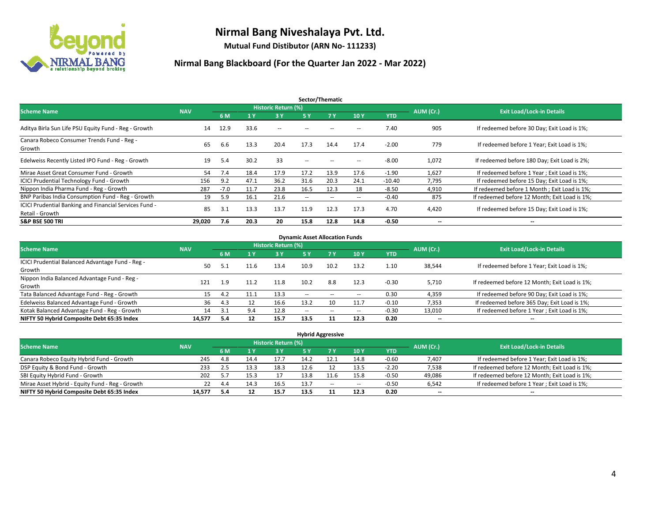

**Mutual Fund Distibutor (ARN No- 111233)**

| Sector/Thematic                                                           |            |        |            |                     |                          |                          |                          |            |                          |                                               |  |  |  |
|---------------------------------------------------------------------------|------------|--------|------------|---------------------|--------------------------|--------------------------|--------------------------|------------|--------------------------|-----------------------------------------------|--|--|--|
| <b>Scheme Name</b>                                                        | <b>NAV</b> |        |            | Historic Return (%) |                          |                          |                          |            | AUM (Cr.)                | <b>Exit Load/Lock-in Details</b>              |  |  |  |
|                                                                           |            | 6 M    | <b>1 Y</b> | 3 Y                 | 5 Y                      | <b>7Y</b>                | 10Y                      | <b>YTD</b> |                          |                                               |  |  |  |
| Aditya Birla Sun Life PSU Equity Fund - Reg - Growth                      | 14         | 12.9   | 33.6       | $- -$               |                          |                          | -                        | 7.40       | 905                      | If redeemed before 30 Day; Exit Load is 1%;   |  |  |  |
| Canara Robeco Consumer Trends Fund - Reg -<br>Growth                      | 65         | 6.6    | 13.3       | 20.4                | 17.3                     | 14.4                     | 17.4                     | $-2.00$    | 779                      | If redeemed before 1 Year; Exit Load is 1%;   |  |  |  |
| Edelweiss Recently Listed IPO Fund - Reg - Growth                         | 19         | 5.4    | 30.2       | 33                  | $\overline{\phantom{a}}$ | $\overline{\phantom{a}}$ | --                       | $-8.00$    | 1,072                    | If redeemed before 180 Day; Exit Load is 2%;  |  |  |  |
| Mirae Asset Great Consumer Fund - Growth                                  | 54         | 7.4    | 18.4       | 17.9                | 17.2                     | 13.9                     | 17.6                     | $-1.90$    | 1,627                    | If redeemed before 1 Year; Exit Load is 1%;   |  |  |  |
| <b>ICICI Prudential Technology Fund - Growth</b>                          | 156        | 9.2    | 47.1       | 36.2                | 31.6                     | 20.3                     | 24.1                     | $-10.40$   | 7,795                    | If redeemed before 15 Day; Exit Load is 1%;   |  |  |  |
| Nippon India Pharma Fund - Reg - Growth                                   | 287        | $-7.0$ | 11.7       | 23.8                | 16.5                     | 12.3                     | 18                       | $-8.50$    | 4,910                    | If redeemed before 1 Month; Exit Load is 1%;  |  |  |  |
| BNP Paribas India Consumption Fund - Reg - Growth                         | 19         | 5.9    | 16.1       | 21.6                | $\overline{\phantom{a}}$ | $- -$                    | $\hspace{0.05cm} \ldots$ | $-0.40$    | 875                      | If redeemed before 12 Month; Exit Load is 1%; |  |  |  |
| ICICI Prudential Banking and Financial Services Fund -<br>Retail - Growth | 85         | 3.1    | 13.3       | 13.7                | 11.9                     | 12.3                     | 17.3                     | 4.70       | 4,420                    | If redeemed before 15 Day; Exit Load is 1%;   |  |  |  |
| <b>S&amp;P BSE 500 TRI</b>                                                | 29.020     | 7.6    | 20.3       | 20                  | 15.8                     | 12.8                     | 14.8                     | $-0.50$    | $\overline{\phantom{a}}$ | $\overline{\phantom{a}}$                      |  |  |  |

| <b>Dynamic Asset Allocation Funds</b>            |            |     |      |                     |        |                          |                          |         |                          |                                               |  |  |  |
|--------------------------------------------------|------------|-----|------|---------------------|--------|--------------------------|--------------------------|---------|--------------------------|-----------------------------------------------|--|--|--|
| <b>Scheme Name</b>                               | <b>NAV</b> |     |      | Historic Return (%) |        |                          |                          |         | AUM (Cr.)                | <b>Exit Load/Lock-in Details</b>              |  |  |  |
|                                                  |            | 6 M | 4 Y  | 3 Y                 | 5 Y    | 7Y                       | 10Y                      | YTD     |                          |                                               |  |  |  |
| ICICI Prudential Balanced Advantage Fund - Reg - | 50         | 5.1 | 11.6 | 13.4                | 10.9   | 10.2                     | 13.2                     | 1.10    | 38,544                   | If redeemed before 1 Year; Exit Load is 1%;   |  |  |  |
| Growth                                           |            |     |      |                     |        |                          |                          |         |                          |                                               |  |  |  |
| Nippon India Balanced Advantage Fund - Reg -     | 121        | 1.9 | 11.2 | 11.8                | 10.2   | 8.8                      | 12.3                     | $-0.30$ | 5,710                    | If redeemed before 12 Month; Exit Load is 1%; |  |  |  |
| Growth                                           |            |     |      |                     |        |                          |                          |         |                          |                                               |  |  |  |
| Tata Balanced Advantage Fund - Reg - Growth      | 15         | 4.2 | 11.1 | 13.3                | $\sim$ | $\overline{\phantom{a}}$ | $\overline{\phantom{a}}$ | 0.30    | 4,359                    | If redeemed before 90 Day; Exit Load is 1%;   |  |  |  |
| Edelweiss Balanced Advantage Fund - Growth       | 36         | 4.3 |      | 16.6                | 13.2   |                          | 11.7                     | $-0.10$ | 7,353                    | If redeemed before 365 Day; Exit Load is 1%;  |  |  |  |
| Kotak Balanced Advantage Fund - Reg - Growth     | 14         | 3.1 | 9.4  | 12.8                | $-$    | $\sim$                   | $\overline{\phantom{a}}$ | $-0.30$ | 13,010                   | If redeemed before 1 Year; Exit Load is 1%;   |  |  |  |
| NIFTY 50 Hybrid Composite Debt 65:35 Index       | 14,577     | 5.4 | 12   | 15.7                | 13.5   |                          | 12.3                     | 0.20    | $\overline{\phantom{a}}$ | $\overline{\phantom{a}}$                      |  |  |  |

| <b>Hybrid Aggressive</b>                        |            |     |      |                     |      |        |      |            |                          |                                               |  |  |  |  |
|-------------------------------------------------|------------|-----|------|---------------------|------|--------|------|------------|--------------------------|-----------------------------------------------|--|--|--|--|
| <b>Scheme Name</b>                              | <b>NAV</b> |     |      | Historic Return (%) |      |        |      |            | AUM (Cr.)                | <b>Exit Load/Lock-in Details</b>              |  |  |  |  |
|                                                 |            | 6 M |      | <b>3 Y</b>          | 5 Y  |        | 10Y  | <b>YTD</b> |                          |                                               |  |  |  |  |
| Canara Robeco Equity Hybrid Fund - Growth       | 245        | 4.8 | 14.4 | 17.7                | 14.2 | 12.1   | 14.8 | $-0.60$    | 7,407                    | If redeemed before 1 Year; Exit Load is 1%;   |  |  |  |  |
| DSP Equity & Bond Fund - Growth                 | 233        | 2.5 | 13.3 | 18.3                | 12.6 |        | 13.5 | $-2.20$    | 7,538                    | If redeemed before 12 Month; Exit Load is 1%; |  |  |  |  |
| SBI Equity Hybrid Fund - Growth                 | 202        | 5.7 | 15.3 | 17                  | 13.8 |        | 15.8 | $-0.50$    | 49,086                   | If redeemed before 12 Month; Exit Load is 1%; |  |  |  |  |
| Mirae Asset Hybrid - Equity Fund - Reg - Growth | 22         | 4.4 | 14.3 | 16.5                | 13.7 | $\sim$ | --   | $-0.50$    | 6,542                    | If redeemed before 1 Year; Exit Load is 1%;   |  |  |  |  |
| NIFTY 50 Hybrid Composite Debt 65:35 Index      | 14,577     | 5.4 |      | 15.7                | 13.5 |        | 12.3 | 0.20       | $\overline{\phantom{a}}$ | $\overline{\phantom{a}}$                      |  |  |  |  |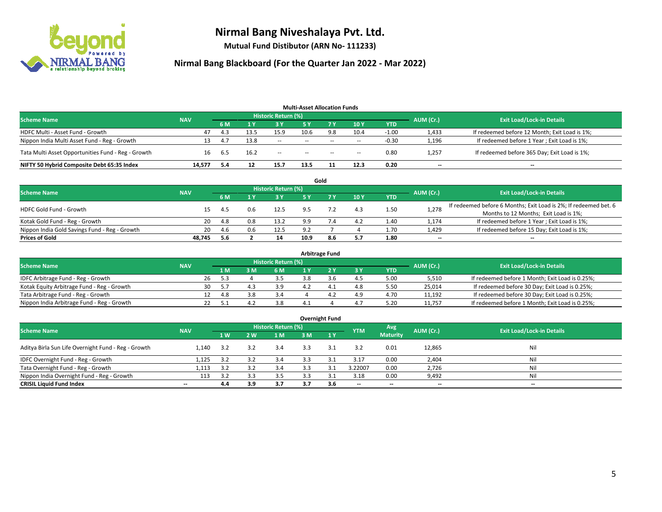

**Mutual Fund Distibutor (ARN No- 111233)**

| <b>Multi-Asset Allocation Funds</b>                |            |     |      |                            |        |        |                          |            |                          |                                               |  |  |  |
|----------------------------------------------------|------------|-----|------|----------------------------|--------|--------|--------------------------|------------|--------------------------|-----------------------------------------------|--|--|--|
| <b>Scheme Name</b>                                 | <b>NAV</b> |     |      | <b>Historic Return (%)</b> |        |        |                          |            | AUM (Cr.)                | <b>Exit Load/Lock-in Details</b>              |  |  |  |
|                                                    |            | 6 M |      | <b>3 Y</b>                 | 5 Y    | 7 Y.   | 10Y                      | <b>YTD</b> |                          |                                               |  |  |  |
| HDFC Multi - Asset Fund - Growth                   | 47         | 4.3 | 13.5 | 15.9                       | 10.6   | 9.8    | 10.4                     | $-1.00$    | 1,433                    | If redeemed before 12 Month; Exit Load is 1%; |  |  |  |
| Nippon India Multi Asset Fund - Reg - Growth       | 13         | 4.7 | 13.8 | $\sim$                     | $\sim$ | $-$    | $\sim$                   | $-0.30$    | 1,196                    | If redeemed before 1 Year; Exit Load is 1%;   |  |  |  |
| Tata Multi Asset Opportunities Fund - Reg - Growth | 16         | 6.5 | 16.2 | $\sim$                     | $\sim$ | $\sim$ | $\overline{\phantom{a}}$ | 0.80       | 1,257                    | If redeemed before 365 Day; Exit Load is 1%;  |  |  |  |
| NIFTY 50 Hybrid Composite Debt 65:35 Index         | 14,577     | 5.4 | 12   | 15.7                       | 13.5   | 11     | 12.3                     | 0.20       | $\overline{\phantom{a}}$ | --                                            |  |  |  |

|                                               |            |      |     |                            |      | Gold |     |            |           |                                                                  |
|-----------------------------------------------|------------|------|-----|----------------------------|------|------|-----|------------|-----------|------------------------------------------------------------------|
| <b>Scheme Name</b>                            | <b>NAV</b> |      |     | <b>Historic Return (%)</b> |      |      |     |            | AUM (Cr.) | <b>Exit Load/Lock-in Details</b>                                 |
|                                               |            | 6 M  |     | 3 Y                        | ς γ  |      | 10Y | <b>YTD</b> |           |                                                                  |
| <b>HDFC Gold Fund - Growth</b>                |            | 4.5  | 0.6 | 12.5                       |      |      | 4.3 | 1.50       | 1,278     | If redeemed before 6 Months; Exit Load is 2%; If redeemed bet. 6 |
|                                               |            |      |     |                            |      |      |     |            |           | Months to 12 Months; Exit Load is 1%;                            |
| Kotak Gold Fund - Reg - Growth                | 20         | 4.8  |     | 13.2                       | 9.9  |      | 4.2 | 1.40       | 1,174     | If redeemed before 1 Year; Exit Load is 1%;                      |
| Nippon India Gold Savings Fund - Reg - Growth | 20         | -4.6 | 0.6 | 12.5                       | 9.2  |      |     | 1.70       | 1,429     | If redeemed before 15 Day; Exit Load is 1%;                      |
| <b>Prices of Gold</b>                         | 48.745     | 5.6  |     | 14                         | 10.9 | 8.6  | 5.7 | 1.80       | $- -$     | $\overline{\phantom{a}}$                                         |

| <b>Arbitrage Fund</b>                      |            |                                  |      |     |     |     |  |     |            |        |                                                 |  |  |  |
|--------------------------------------------|------------|----------------------------------|------|-----|-----|-----|--|-----|------------|--------|-------------------------------------------------|--|--|--|
| <b>Scheme Name</b>                         | AUM (Cr.)  | <b>Exit Load/Lock-in Details</b> |      |     |     |     |  |     |            |        |                                                 |  |  |  |
|                                            | <b>NAV</b> |                                  | 1 M  | : M | 6 M |     |  | 3Y  | <b>YTD</b> |        |                                                 |  |  |  |
| IDFC Arbitrage Fund - Reg - Growth         |            | 26                               | 5.3  |     | 3.5 | 3.8 |  | 4.5 | 5.00       | 5,510  | If redeemed before 1 Month; Exit Load is 0.25%; |  |  |  |
| Kotak Equity Arbitrage Fund - Reg - Growth |            | 30                               | -5.7 |     | 3.9 |     |  | 4.8 | 5.50       | 25.014 | If redeemed before 30 Day; Exit Load is 0.25%;  |  |  |  |
| Tata Arbitrage Fund - Reg - Growth         |            |                                  | 4.8  |     | 3.4 |     |  | 4.9 | 4.70       | 11.192 | If redeemed before 30 Day; Exit Load is 0.25%;  |  |  |  |
| Nippon India Arbitrage Fund - Reg - Growth |            |                                  |      |     | 3.8 |     |  | 4.7 | 5.20       | 11.757 | If redeemed before 1 Month; Exit Load is 0.25%; |  |  |  |

| <b>Overnight Fund</b>                               |                          |     |     |                            |     |     |                          |                 |                          |                                  |  |  |  |  |
|-----------------------------------------------------|--------------------------|-----|-----|----------------------------|-----|-----|--------------------------|-----------------|--------------------------|----------------------------------|--|--|--|--|
| <b>Scheme Name</b>                                  | <b>NAV</b>               |     |     | <b>Historic Return (%)</b> |     |     | <b>YTM</b>               | Avg             | AUM (Cr.)                | <b>Exit Load/Lock-in Details</b> |  |  |  |  |
|                                                     |                          | 1W  | 2 W | 1 M                        | 3 M | 1Y  |                          | <b>Maturity</b> |                          |                                  |  |  |  |  |
| Aditya Birla Sun Life Overnight Fund - Reg - Growth | 1.140                    | 3.2 | 3.2 | 3.4                        | 3.3 |     | 3.2                      | 0.01            | 12,865                   | Nil                              |  |  |  |  |
| IDFC Overnight Fund - Reg - Growth                  | 1,125                    | 3.2 | 3.2 | 3.4                        | 3.3 | ় ' | 3.17                     | 0.00            | 2,404                    | Nil                              |  |  |  |  |
| Tata Overnight Fund - Reg - Growth                  | 1,113                    | 3.2 |     | 3.4                        | 3.3 | ∍   | 3.22007                  | 0.00            | 2,726                    | Nil                              |  |  |  |  |
| Nippon India Overnight Fund - Reg - Growth          | 113                      | 3.2 | 3.3 | 3.5                        |     |     | 3.18                     | 0.00            | 9,492                    | Nil                              |  |  |  |  |
| <b>CRISIL Liquid Fund Index</b>                     | $\overline{\phantom{a}}$ | 4.4 | 3.9 | 3.7                        | 3.7 | 3.6 | $\overline{\phantom{a}}$ | $- -$           | $\overline{\phantom{a}}$ | $-$                              |  |  |  |  |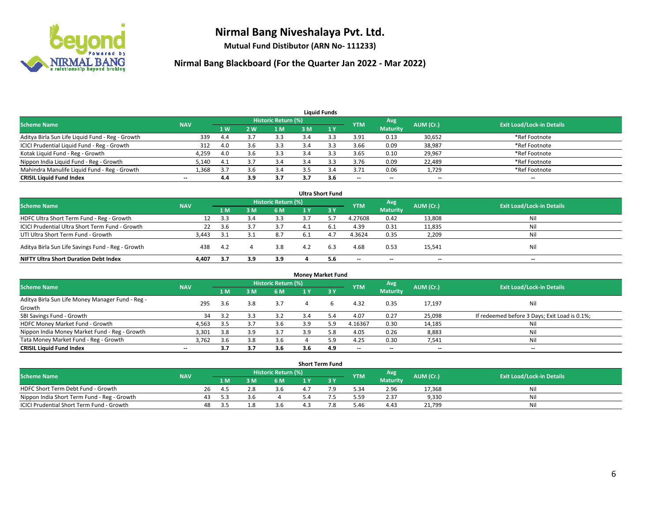

**Mutual Fund Distibutor (ARN No- 111233)**

| <b>Liauid Funds</b>                              |                          |                |     |                     |     |     |            |                          |           |                                  |  |  |  |
|--------------------------------------------------|--------------------------|----------------|-----|---------------------|-----|-----|------------|--------------------------|-----------|----------------------------------|--|--|--|
| <b>Scheme Name</b>                               | <b>NAV</b>               |                |     | Historic Return (%) |     |     | <b>YTM</b> | Avg                      | AUM (Cr.) | <b>Exit Load/Lock-in Details</b> |  |  |  |
|                                                  |                          | 1 <sub>W</sub> | 2 W | 1 M                 | 3 M |     |            | <b>Maturity</b>          |           |                                  |  |  |  |
| Aditya Birla Sun Life Liquid Fund - Reg - Growth | 339                      | 4.4            |     | 3.3                 |     |     | 3.91       | 0.13                     | 30,652    | *Ref Footnote                    |  |  |  |
| ICICI Prudential Liquid Fund - Reg - Growth      | 312                      | 4.0            |     | 3.3                 | 3.4 |     | 3.66       | 0.09                     | 38,987    | *Ref Footnote                    |  |  |  |
| Kotak Liquid Fund - Reg - Growth                 | 4,259                    | 4.0            |     | 3.3                 |     |     | 3.65       | 0.10                     | 29,967    | *Ref Footnote                    |  |  |  |
| Nippon India Liquid Fund - Reg - Growth          | 5,140                    | 4.1            |     | 3.4                 |     |     | 3.76       | 0.09                     | 22,489    | *Ref Footnote                    |  |  |  |
| Mahindra Manulife Liquid Fund - Reg - Growth     | 1.368                    | 3.7            |     | 3.4                 |     |     | 3.71       | 0.06                     | 1,729     | *Ref Footnote                    |  |  |  |
| <b>CRISIL Liquid Fund Index</b>                  | $\overline{\phantom{a}}$ | 4.4            | 3.9 | 3.7                 |     | 3.6 | $- -$      | $\overline{\phantom{a}}$ | $- -$     | $\overline{\phantom{a}}$         |  |  |  |

| <b>Ultra Short Fund</b>                           |            |     |     |                            |     |     |            |                          |           |                                  |  |  |  |
|---------------------------------------------------|------------|-----|-----|----------------------------|-----|-----|------------|--------------------------|-----------|----------------------------------|--|--|--|
| <b>Scheme Name</b>                                | <b>NAV</b> |     |     | <b>Historic Return (%)</b> |     |     | <b>YTM</b> | Avg                      | AUM (Cr.) | <b>Exit Load/Lock-in Details</b> |  |  |  |
|                                                   |            | 1 M | 3 M | 6 M                        |     | 3 Y |            | <b>Maturity</b>          |           |                                  |  |  |  |
| HDFC Ultra Short Term Fund - Reg - Growth         |            | 3.3 |     | 3.3                        |     |     | 4.27608    | 0.42                     | 13,808    | Nil                              |  |  |  |
| ICICI Prudential Ultra Short Term Fund - Growth   | 22         | 3.6 |     | 3.7                        | 4.1 | b.1 | 4.39       | 0.31                     | 11,835    | Nil                              |  |  |  |
| UTI Ultra Short Term Fund - Growth                | 3.443      |     |     | 8.7                        | 6.1 |     | 4.3624     | 0.35                     | 2,209     | Nil                              |  |  |  |
| Aditya Birla Sun Life Savings Fund - Reg - Growth | 438        | 4.2 |     | 3.8                        | 4.2 | 6.3 | 4.68       | 0.53                     | 15,541    | Nil                              |  |  |  |
| <b>NIFTY Ultra Short Duration Debt Index</b>      | 4,407      | 3.7 | 3.9 | 3.9                        |     | 5.6 | $- -$      | $\overline{\phantom{a}}$ | $- -$     | $- -$                            |  |  |  |

| <b>Money Market Fund</b>                         |            |     |     |                            |     |     |            |                          |           |                                               |  |  |  |
|--------------------------------------------------|------------|-----|-----|----------------------------|-----|-----|------------|--------------------------|-----------|-----------------------------------------------|--|--|--|
| <b>Scheme Name</b>                               | <b>NAV</b> |     |     | <b>Historic Return (%)</b> |     |     | <b>YTM</b> | Avg                      | AUM (Cr.) | <b>Exit Load/Lock-in Details</b>              |  |  |  |
|                                                  |            | 1 M | 3 M | 6 M                        |     | 3Y  |            | <b>Maturity</b>          |           |                                               |  |  |  |
| Aditya Birla Sun Life Money Manager Fund - Reg - | 295        | 3.6 | 3.8 | 3.7                        |     | h   | 4.32       | 0.35                     | 17,197    | Nil                                           |  |  |  |
| Growth                                           |            |     |     |                            |     |     |            |                          |           |                                               |  |  |  |
| SBI Savings Fund - Growth                        | 34         |     |     | 3.2                        | 3.4 |     | 4.07       | 0.27                     | 25,098    | If redeemed before 3 Days; Exit Load is 0.1%; |  |  |  |
| HDFC Money Market Fund - Growth                  | 4,563      | 3.5 |     | 3.6                        | 3.9 | 5.9 | 4.16367    | 0.30                     | 14,185    | Nil                                           |  |  |  |
| Nippon India Money Market Fund - Reg - Growth    | 3,301      | 3.8 | 3.9 | 3.7                        | 3.9 |     | 4.05       | 0.26                     | 8,883     | Nil                                           |  |  |  |
| Tata Money Market Fund - Reg - Growth            | 3,762      | 3.6 | 3.8 | 3.6                        |     | 5.9 | 4.25       | 0.30                     | 7,541     | Nil                                           |  |  |  |
| <b>CRISIL Liquid Fund Index</b>                  | $- -$      | 3.7 | 3.7 | 3.6                        | 3.6 | 4.9 | $-$        | $\overline{\phantom{a}}$ | $- -$     | $-$                                           |  |  |  |

| <b>Short Term Fund</b>                      |            |                                                       |       |                                  |     |  |  |      |                 |        |     |  |  |  |
|---------------------------------------------|------------|-------------------------------------------------------|-------|----------------------------------|-----|--|--|------|-----------------|--------|-----|--|--|--|
| Scheme Name                                 | <b>NAV</b> | Historic Return (%)<br>Avg<br>AUM (Cr.)<br><b>YTM</b> |       | <b>Exit Load/Lock-in Details</b> |     |  |  |      |                 |        |     |  |  |  |
|                                             |            |                                                       | 1 M I |                                  | 6 M |  |  |      | <b>Maturity</b> |        |     |  |  |  |
| HDFC Short Term Debt Fund - Growth          |            | 26                                                    | 4.5   |                                  | 3.O |  |  | 5.34 | 2.96            | 17,368 | Nil |  |  |  |
| Nippon India Short Term Fund - Reg - Growth |            | 43                                                    |       |                                  |     |  |  | 5.59 | 2.37            | 9,330  | Nil |  |  |  |
| ICICI Prudential Short Term Fund - Growth   |            | 48                                                    | 5.5   |                                  | 3.6 |  |  | 5.46 | 4.43            | 21,799 | Nil |  |  |  |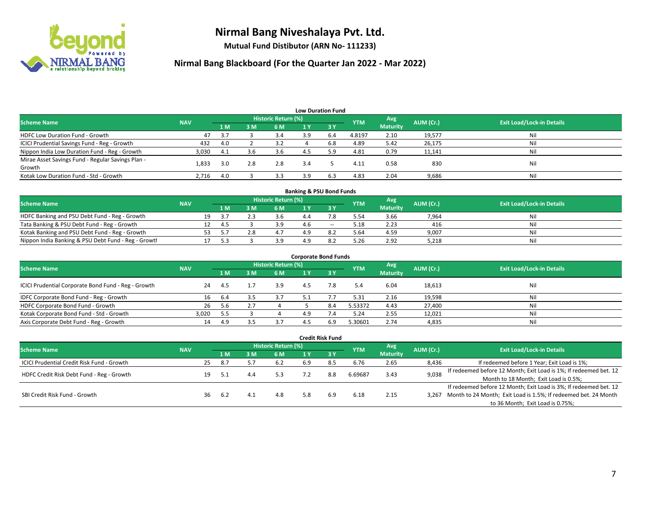

**Mutual Fund Distibutor (ARN No- 111233)**

| <b>Low Duration Fund</b>                          |            |     |     |                     |     |              |            |                 |           |                                  |  |  |  |
|---------------------------------------------------|------------|-----|-----|---------------------|-----|--------------|------------|-----------------|-----------|----------------------------------|--|--|--|
| <b>Scheme Name</b>                                | <b>NAV</b> |     |     | Historic Return (%) |     |              | <b>YTM</b> | Avg             | AUM (Cr.) | <b>Exit Load/Lock-in Details</b> |  |  |  |
|                                                   |            | 1 M | 3M  | 6 M                 | 1 Y | $\sqrt{3}$ V |            | <b>Maturity</b> |           |                                  |  |  |  |
| <b>HDFC Low Duration Fund - Growth</b>            | 47         | 3.7 |     | 3.4                 | 3.9 | 6.4          | 4.8197     | 2.10            | 19,577    | Nil                              |  |  |  |
| ICICI Prudential Savings Fund - Reg - Growth      | 432        | 4.0 |     | 3.2                 |     | 6.8          | 4.89       | 5.42            | 26,175    | Nil                              |  |  |  |
| Nippon India Low Duration Fund - Reg - Growth     | 3,030      | 4.1 | 3.6 | 3.6                 | 4.5 | 5.9          | 4.81       | 0.79            | 11,141    | Nil                              |  |  |  |
| Mirae Asset Savings Fund - Regular Savings Plan - | 1,833      | 3.0 | 2.8 | 2.8                 | 3.4 |              | 4.11       | 0.58            | 830       | Nil                              |  |  |  |
| Growth                                            |            |     |     |                     |     |              |            |                 |           |                                  |  |  |  |
| Kotak Low Duration Fund - Std - Growth            | 2,716      | 4.0 |     | 3.3                 | 3.9 | 6.3          | 4.83       | 2.04            | 9,686     | Nil                              |  |  |  |

| <b>Banking &amp; PSU Bond Funds</b>                 |            |    |     |  |                     |     |        |            |                 |           |                                  |  |  |  |
|-----------------------------------------------------|------------|----|-----|--|---------------------|-----|--------|------------|-----------------|-----------|----------------------------------|--|--|--|
| <b>Scheme Name</b>                                  | <b>NAV</b> |    |     |  | Historic Return (%) |     |        | <b>YTM</b> | Avg             | AUM (Cr.) | <b>Exit Load/Lock-in Details</b> |  |  |  |
|                                                     |            |    | 1 M |  | 6 M                 |     |        |            | <b>Maturity</b> |           |                                  |  |  |  |
| HDFC Banking and PSU Debt Fund - Reg - Growth       |            | 19 |     |  | 3.6                 | 4.4 |        | 5.54       | 3.66            | 7,964     | Nil                              |  |  |  |
| Tata Banking & PSU Debt Fund - Reg - Growth         |            |    | 4.5 |  | 3.9                 | 4.6 | $\sim$ | 5.18       | 2.23            | 416       | Nil                              |  |  |  |
| Kotak Banking and PSU Debt Fund - Reg - Growth      |            |    |     |  | 4.1                 | 1 Q |        | 5.64       | 4.59            | 9,007     | Nil                              |  |  |  |
| Nippon India Banking & PSU Debt Fund - Reg - Growth |            |    | 52  |  |                     | 1 Q |        | 5.26       | 2.92            | 5,218     | Nil                              |  |  |  |

| <b>Corporate Bond Funds</b>                         |            |      |    |                            |     |      |            |                        |           |                                  |  |
|-----------------------------------------------------|------------|------|----|----------------------------|-----|------|------------|------------------------|-----------|----------------------------------|--|
| <b>Scheme Name</b>                                  | <b>NAV</b> |      |    | <b>Historic Return (%)</b> |     |      | <b>YTM</b> | Avg<br><b>Maturity</b> | AUM (Cr.) | <b>Exit Load/Lock-in Details</b> |  |
|                                                     |            | 1 M  | ١M | 6 M                        | 1 Y | -3 Y |            |                        |           |                                  |  |
| ICICI Prudential Corporate Bond Fund - Reg - Growth | 24         | -4.5 |    | 3.9                        | 4.5 | 7.8  | 5.4        | 6.04                   | 18,613    | Nil                              |  |
| IDFC Corporate Bond Fund - Reg - Growth             | 16         | 6.4  |    | 3.7                        | 5.1 |      | 5.31       | 2.16                   | 19,598    | Nil                              |  |
| HDFC Corporate Bond Fund - Growth                   | 26         | 5.6  |    |                            |     | 8.4  | 5.53372    | 4.43                   | 27,400    | Nil                              |  |
| Kotak Corporate Bond Fund - Std - Growth            | 3.020      | 5.5  |    |                            | 4 Q |      | 5.24       | 2.55                   | 12,021    | Nil                              |  |
| Axis Corporate Debt Fund - Reg - Growth             | 14         | 4.9  |    |                            |     | 6.9  | 5.30601    | 2.74                   | 4,835     | Nil                              |  |

|                                                   |            |    |      |        |                            |     | <b>Credit Risk Fund</b> |            |                 |           |                                                                       |
|---------------------------------------------------|------------|----|------|--------|----------------------------|-----|-------------------------|------------|-----------------|-----------|-----------------------------------------------------------------------|
| <b>Scheme Name</b>                                | <b>NAV</b> |    |      |        | <b>Historic Return (%)</b> |     |                         |            | Avg             | AUM (Cr.) | <b>Exit Load/Lock-in Details</b>                                      |
|                                                   |            |    | 1 M  | 3 M    | 6 M                        | 1 Y | $\sqrt{3}$ Y            | <b>YTM</b> | <b>Maturity</b> |           |                                                                       |
| <b>ICICI Prudential Credit Risk Fund - Growth</b> |            | 25 | -8.7 |        | 6.2                        | 6.9 | 8.5                     | 6.76       | 2.65            | 8,436     | If redeemed before 1 Year; Exit Load is 1%;                           |
| HDFC Credit Risk Debt Fund - Reg - Growth         |            | 19 | -5.1 | 4.4    | 5.3                        |     | 8.8                     | 6.69687    | 3.43            | 9,038     | If redeemed before 12 Month; Exit Load is 1%; If redeemed bet. 12     |
|                                                   |            |    |      |        |                            |     |                         |            |                 |           | Month to 18 Month; Exit Load is 0.5%;                                 |
| SBI Credit Risk Fund - Growth                     |            |    |      |        |                            |     |                         |            |                 |           | If redeemed before 12 Month; Exit Load is 3%; If redeemed bet. 12     |
|                                                   |            | 36 | 6.2  | $-4.1$ | 4.8                        | 5.8 | 6.9                     | 6.18       | 2.15            |           | 3,267 Month to 24 Month; Exit Load is 1.5%; If redeemed bet. 24 Month |
|                                                   |            |    |      |        |                            |     |                         |            |                 |           | to 36 Month; Exit Load is 0.75%;                                      |